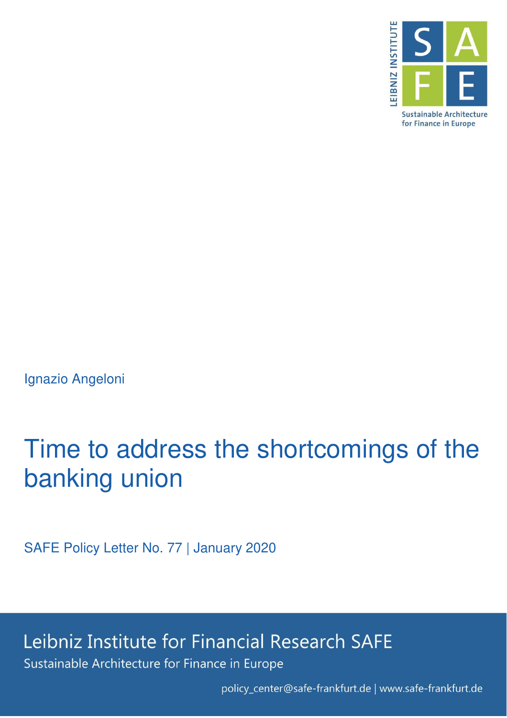

Ignazio Angeloni

## Time to address the shortcomings of the banking union

SAFE Policy Letter No. 77 | January 2020

Leibniz Institute for Financial Research SAFE Sustainable Architecture for Finance in Europe

policy\_center@safe-frankfurt.de | www.safe-frankfurt.de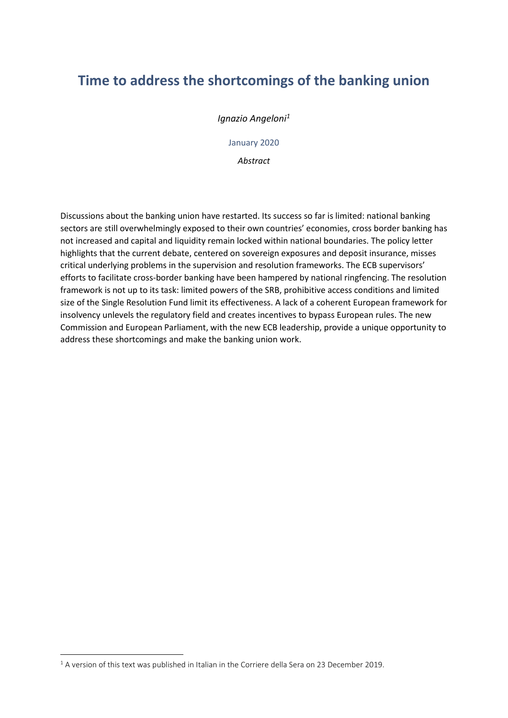## **Time to address the shortcomings of the banking union**

*Ignazio Angeloni<sup>1</sup>*

January 2020

*Abstract* 

Discussions about the banking union have restarted. Its success so far is limited: national banking sectors are still overwhelmingly exposed to their own countries' economies, cross border banking has not increased and capital and liquidity remain locked within national boundaries. The policy letter highlights that the current debate, centered on sovereign exposures and deposit insurance, misses critical underlying problems in the supervision and resolution frameworks. The ECB supervisors' efforts to facilitate cross-border banking have been hampered by national ringfencing. The resolution framework is not up to its task: limited powers of the SRB, prohibitive access conditions and limited size of the Single Resolution Fund limit its effectiveness. A lack of a coherent European framework for insolvency unlevels the regulatory field and creates incentives to bypass European rules. The new Commission and European Parliament, with the new ECB leadership, provide a unique opportunity to address these shortcomings and make the banking union work.

-

 $<sup>1</sup>$  A version of this text was published in Italian in the Corriere della Sera on 23 December 2019.</sup>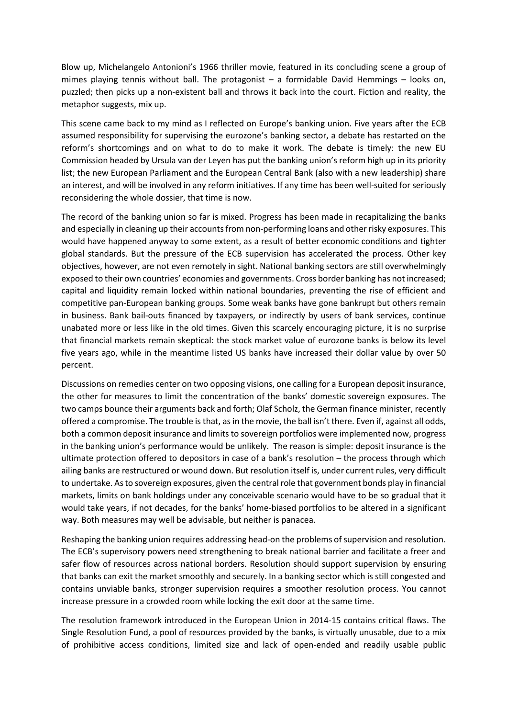Blow up, Michelangelo Antonioni's 1966 thriller movie, featured in its concluding scene a group of mimes playing tennis without ball. The protagonist – a formidable David Hemmings – looks on, puzzled; then picks up a non-existent ball and throws it back into the court. Fiction and reality, the metaphor suggests, mix up.

This scene came back to my mind as I reflected on Europe's banking union. Five years after the ECB assumed responsibility for supervising the eurozone's banking sector, a debate has restarted on the reform's shortcomings and on what to do to make it work. The debate is timely: the new EU Commission headed by Ursula van der Leyen has put the banking union's reform high up in its priority list; the new European Parliament and the European Central Bank (also with a new leadership) share an interest, and will be involved in any reform initiatives. If any time has been well-suited for seriously reconsidering the whole dossier, that time is now.

The record of the banking union so far is mixed. Progress has been made in recapitalizing the banks and especially in cleaning up their accounts from non-performing loans and other risky exposures. This would have happened anyway to some extent, as a result of better economic conditions and tighter global standards. But the pressure of the ECB supervision has accelerated the process. Other key objectives, however, are not even remotely in sight. National banking sectors are still overwhelmingly exposed to their own countries' economies and governments. Cross border banking has not increased; capital and liquidity remain locked within national boundaries, preventing the rise of efficient and competitive pan-European banking groups. Some weak banks have gone bankrupt but others remain in business. Bank bail-outs financed by taxpayers, or indirectly by users of bank services, continue unabated more or less like in the old times. Given this scarcely encouraging picture, it is no surprise that financial markets remain skeptical: the stock market value of eurozone banks is below its level five years ago, while in the meantime listed US banks have increased their dollar value by over 50 percent.

Discussions on remedies center on two opposing visions, one calling for a European deposit insurance, the other for measures to limit the concentration of the banks' domestic sovereign exposures. The two camps bounce their arguments back and forth; Olaf Scholz, the German finance minister, recently offered a compromise. The trouble is that, as in the movie, the ball isn't there. Even if, against all odds, both a common deposit insurance and limits to sovereign portfolios were implemented now, progress in the banking union's performance would be unlikely. The reason is simple: deposit insurance is the ultimate protection offered to depositors in case of a bank's resolution – the process through which ailing banks are restructured or wound down. But resolution itself is, under current rules, very difficult to undertake. As to sovereign exposures, given the central role that government bonds play in financial markets, limits on bank holdings under any conceivable scenario would have to be so gradual that it would take years, if not decades, for the banks' home-biased portfolios to be altered in a significant way. Both measures may well be advisable, but neither is panacea.

Reshaping the banking union requires addressing head-on the problems of supervision and resolution. The ECB's supervisory powers need strengthening to break national barrier and facilitate a freer and safer flow of resources across national borders. Resolution should support supervision by ensuring that banks can exit the market smoothly and securely. In a banking sector which is still congested and contains unviable banks, stronger supervision requires a smoother resolution process. You cannot increase pressure in a crowded room while locking the exit door at the same time.

The resolution framework introduced in the European Union in 2014-15 contains critical flaws. The Single Resolution Fund, a pool of resources provided by the banks, is virtually unusable, due to a mix of prohibitive access conditions, limited size and lack of open-ended and readily usable public